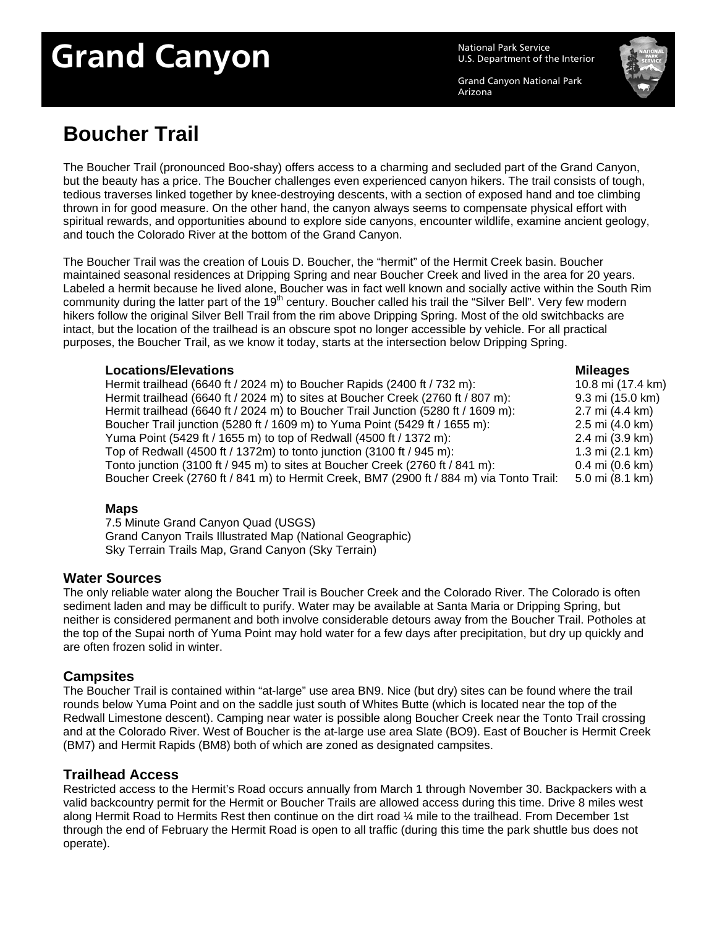# Grand Canyon<br>
Mational Park Service

U.S. Department of the Interior

Grand Canyon National Park Arizona



## **Boucher Trail**

The Boucher Trail (pronounced Boo-shay) offers access to a charming and secluded part of the Grand Canyon, but the beauty has a price. The Boucher challenges even experienced canyon hikers. The trail consists of tough, tedious traverses linked together by knee-destroying descents, with a section of exposed hand and toe climbing thrown in for good measure. On the other hand, the canyon always seems to compensate physical effort with spiritual rewards, and opportunities abound to explore side canyons, encounter wildlife, examine ancient geology, and touch the Colorado River at the bottom of the Grand Canyon.

The Boucher Trail was the creation of Louis D. Boucher, the "hermit" of the Hermit Creek basin. Boucher maintained seasonal residences at Dripping Spring and near Boucher Creek and lived in the area for 20 years. Labeled a hermit because he lived alone, Boucher was in fact well known and socially active within the South Rim community during the latter part of the  $19<sup>th</sup>$  century. Boucher called his trail the "Silver Bell". Very few modern hikers follow the original Silver Bell Trail from the rim above Dripping Spring. Most of the old switchbacks are intact, but the location of the trailhead is an obscure spot no longer accessible by vehicle. For all practical purposes, the Boucher Trail, as we know it today, starts at the intersection below Dripping Spring.

### **Locations/Elevations Mileages**

| LUCQUUIS/LICVQUUIS                                                                      | mncaycə                           |
|-----------------------------------------------------------------------------------------|-----------------------------------|
| Hermit trailhead (6640 ft / 2024 m) to Boucher Rapids (2400 ft / 732 m):                | 10.8 mi (17.4 km)                 |
| Hermit trailhead (6640 ft / 2024 m) to sites at Boucher Creek (2760 ft / 807 m):        | 9.3 mi (15.0 km)                  |
| Hermit trailhead (6640 ft / 2024 m) to Boucher Trail Junction (5280 ft / 1609 m):       | 2.7 mi (4.4 km)                   |
| Boucher Trail junction (5280 ft / 1609 m) to Yuma Point (5429 ft / 1655 m):             | 2.5 mi (4.0 km)                   |
| Yuma Point (5429 ft / 1655 m) to top of Redwall (4500 ft / 1372 m):                     | 2.4 mi (3.9 km)                   |
| Top of Redwall (4500 ft / 1372m) to tonto junction (3100 ft / 945 m):                   | $1.3 \text{ mi} (2.1 \text{ km})$ |
| Tonto junction (3100 ft / 945 m) to sites at Boucher Creek (2760 ft / 841 m):           | $0.4$ mi $(0.6$ km)               |
| Boucher Creek (2760 ft / 841 m) to Hermit Creek, BM7 (2900 ft / 884 m) via Tonto Trail: | 5.0 mi (8.1 km)                   |
|                                                                                         |                                   |

#### **Maps**

7.5 Minute Grand Canyon Quad (USGS) Grand Canyon Trails Illustrated Map (National Geographic) Sky Terrain Trails Map, Grand Canyon (Sky Terrain)

#### **Water Sources**

The only reliable water along the Boucher Trail is Boucher Creek and the Colorado River. The Colorado is often sediment laden and may be difficult to purify. Water may be available at Santa Maria or Dripping Spring, but neither is considered permanent and both involve considerable detours away from the Boucher Trail. Potholes at the top of the Supai north of Yuma Point may hold water for a few days after precipitation, but dry up quickly and are often frozen solid in winter.

#### **Campsites**

The Boucher Trail is contained within "at-large" use area BN9. Nice (but dry) sites can be found where the trail rounds below Yuma Point and on the saddle just south of Whites Butte (which is located near the top of the Redwall Limestone descent). Camping near water is possible along Boucher Creek near the Tonto Trail crossing and at the Colorado River. West of Boucher is the at-large use area Slate (BO9). East of Boucher is Hermit Creek (BM7) and Hermit Rapids (BM8) both of which are zoned as designated campsites.

#### **Trailhead Access**

Restricted access to the Hermit's Road occurs annually from March 1 through November 30. Backpackers with a valid backcountry permit for the Hermit or Boucher Trails are allowed access during this time. Drive 8 miles west along Hermit Road to Hermits Rest then continue on the dirt road ¼ mile to the trailhead. From December 1st through the end of February the Hermit Road is open to all traffic (during this time the park shuttle bus does not operate).